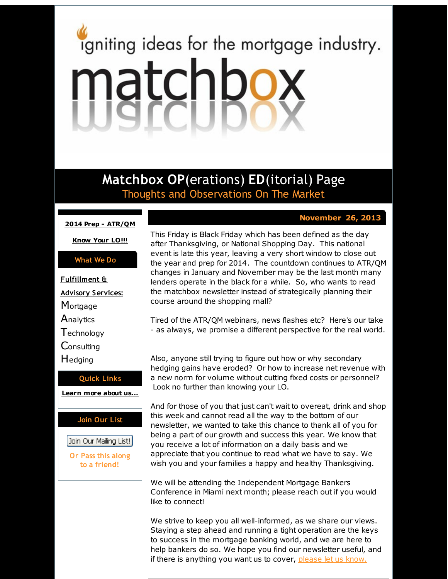# <span id="page-0-0"></span>igniting ideas for the mortgage industry. matchbox

**Matchbox OP**(erations) **ED**(itorial) Page Thoughts and Observations On The Market

course around the shopping mall?

#### **2014 Prep - [ATR/QM](#page-0-0)**

**[Know](#page-0-0) Your LO!!!**

### **What We Do**

**Fulfillment & Advisory Services: Mortgage Analytics Technology Consulting H**edging **Quick Links**

# **[Learn](http://r20.rs6.net/tn.jsp?f=0010uhScWNA1eKltnhzo04MMgCvaWVezF1uUIlgA2ig62CM-uHzILGS7Xb9mVeihkj3FHSWx100KcnftfbMUxsXgjI2T6EnofjHEw3VDYXNJg_nMqnPLmfY5vkZ_p__TFkGzpu2F_vvrWEvyqcg8Cg4IooD8lhE1vyX5ZvCVGFPRzG-LUFaK3kOvg==&c=&ch=) more about u[s...](http://r20.rs6.net/tn.jsp?f=0010uhScWNA1eKltnhzo04MMgCvaWVezF1uUIlgA2ig62CM-uHzILGS7Xb9mVeihkj3FHSWx100KcnftfbMUxsXgjI2T6EnofjHEw3VDYXNJg_nMqnPLmfY5vkZ_p__TFkGzpu2F_vvrWEvyqcg8Cg4IooD8lhE1vyX5ZvCVGFPRzG-LUFaK3kOvg==&c=&ch=)**

# **Join Our List**

Join Our Mailing List!

**Or Pass this along to a friend!**

## This Friday is Black Friday which has been defined as the day after Thanksgiving, or National Shopping Day. This national event is late this year, leaving a very short window to close out the year and prep for 2014. The countdown continues to ATR/QM changes in January and November may be the last month many lenders operate in the black for a while. So, who wants to read the matchbox newsletter instead of strategically planning their

**November 26, 2013**

Tired of the ATR/QM webinars, news flashes etc? Here's our take - as always, we promise a different perspective for the real world.

Also, anyone still trying to figure out how or why secondary hedging gains have eroded? Or how to increase net revenue with a new norm for volume without cutting fixed costs or personnel? Look no further than knowing your LO.

And for those of you that just can't wait to overeat, drink and shop this week and cannot read all the way to the bottom of our newsletter, we wanted to take this chance to thank all of you for being a part of our growth and success this year. We know that you receive a lot of information on a daily basis and we appreciate that you continue to read what we have to say. We wish you and your families a happy and healthy Thanksgiving.

We will be attending the Independent Mortgage Bankers Conference in Miami next month; please reach out if you would like to connect!

We strive to keep you all well-informed, as we share our views. Staying a step ahead and running a tight operation are the keys to success in the mortgage banking world, and we are here to help bankers do so. We hope you find our newsletter useful, and if there is anything you want us to cover, [please](http://r20.rs6.net/tn.jsp?f=0010uhScWNA1eKltnhzo04MMgCvaWVezF1uUIlgA2ig62CM-uHzILGS7WDXUOB6_2-xMPVj9WIg4u2sEnmt4L4Ia9XDiZgAKY8I7KSMTCTkfEViHQjtN4cWq-pnJJgI8A9jukUJYOV5Y6SE3TwtwZc6YJyJM5ODIb8Jd0ecD-buBr8lqfUQUJchPHHoB9KUUW7P&c=&ch=) let us know.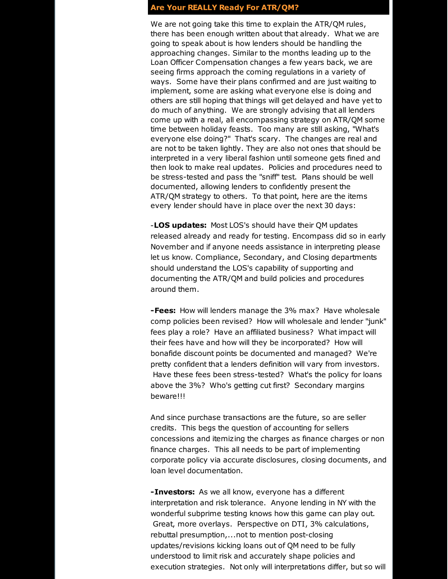### **Are Your REALLY Ready For ATR/QM?**

We are not going take this time to explain the ATR/QM rules, there has been enough written about that already. What we are going to speak about is how lenders should be handling the approaching changes. Similar to the months leading up to the Loan Officer Compensation changes a few years back, we are seeing firms approach the coming regulations in a variety of ways. Some have their plans confirmed and are just waiting to implement, some are asking what everyone else is doing and others are still hoping that things will get delayed and have yet to do much of anything. We are strongly advising that all lenders come up with a real, all encompassing strategy on ATR/QM some time between holiday feasts. Too many are still asking, "What's everyone else doing?" That's scary. The changes are real and are not to be taken lightly. They are also not ones that should be interpreted in a very liberal fashion until someone gets fined and then look to make real updates. Policies and procedures need to be stress-tested and pass the "sniff" test. Plans should be well documented, allowing lenders to confidently present the ATR/QM strategy to others. To that point, here are the items every lender should have in place over the next 30 days:

-**LOS updates:** Most LOS's should have their QM updates released already and ready for testing. Encompass did so in early November and if anyone needs assistance in interpreting please let us know. Compliance, Secondary, and Closing departments should understand the LOS's capability of supporting and documenting the ATR/QM and build policies and procedures around them.

**-Fees:** How will lenders manage the 3% max? Have wholesale comp policies been revised? How will wholesale and lender "junk" fees play a role? Have an affiliated business? What impact will their fees have and how will they be incorporated? How will bonafide discount points be documented and managed? We're pretty confident that a lenders definition will vary from investors. Have these fees been stress-tested? What's the policy for loans above the 3%? Who's getting cut first? Secondary margins beware!!!

And since purchase transactions are the future, so are seller credits. This begs the question of accounting for sellers concessions and itemizing the charges as finance charges or non finance charges. This all needs to be part of implementing corporate policy via accurate disclosures, closing documents, and loan level documentation.

**-Investors:** As we all know, everyone has a different interpretation and risk tolerance. Anyone lending in NY with the wonderful subprime testing knows how this game can play out. Great, more overlays. Perspective on DTI, 3% calculations, rebuttal presumption,...not to mention post-closing updates/revisions kicking loans out of QM need to be fully understood to limit risk and accurately shape policies and execution strategies. Not only will interpretations differ, but so will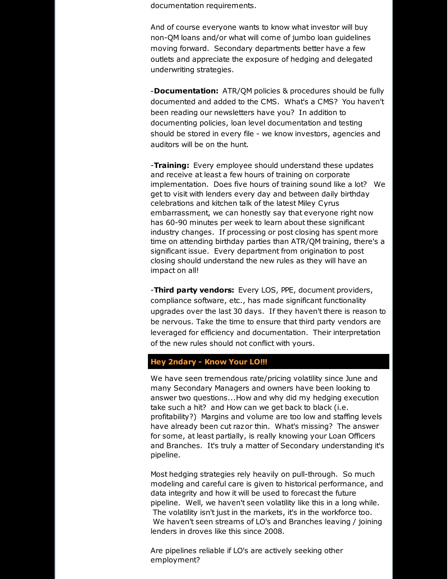documentation requirements.

And of course everyone wants to know what investor will buy non-QM loans and/or what will come of jumbo loan guidelines moving forward. Secondary departments better have a few outlets and appreciate the exposure of hedging and delegated underwriting strategies.

-**Documentation:** ATR/QM policies & procedures should be fully documented and added to the CMS. What's a CMS? You haven't been reading our newsletters have you? In addition to documenting policies, loan level documentation and testing should be stored in every file - we know investors, agencies and auditors will be on the hunt.

-**Training:** Every employee should understand these updates and receive at least a few hours of training on corporate implementation. Does five hours of training sound like a lot? We get to visit with lenders every day and between daily birthday celebrations and kitchen talk of the latest Miley Cyrus embarrassment, we can honestly say that everyone right now has 60-90 minutes per week to learn about these significant industry changes. If processing or post closing has spent more time on attending birthday parties than ATR/QM training, there's a significant issue. Every department from origination to post closing should understand the new rules as they will have an impact on all!

-**Third party vendors:** Every LOS, PPE, document providers, compliance software, etc., has made significant functionality upgrades over the last 30 days. If they haven't there is reason to be nervous. Take the time to ensure that third party vendors are leveraged for efficiency and documentation. Their interpretation of the new rules should not conflict with yours.

# **Hey 2ndary - Know Your LO!!!**

We have seen tremendous rate/pricing volatility since June and many Secondary Managers and owners have been looking to answer two questions...How and why did my hedging execution take such a hit? and How can we get back to black (i.e. profitability?) Margins and volume are too low and staffing levels have already been cut razor thin. What's missing? The answer for some, at least partially, is really knowing your Loan Officers and Branches. It's truly a matter of Secondary understanding it's pipeline.

Most hedging strategies rely heavily on pull-through. So much modeling and careful care is given to historical performance, and data integrity and how it will be used to forecast the future pipeline. Well, we haven't seen volatility like this in a long while. The volatility isn't just in the markets, it's in the workforce too. We haven't seen streams of LO's and Branches leaving / joining lenders in droves like this since 2008.

Are pipelines reliable if LO's are actively seeking other employment?